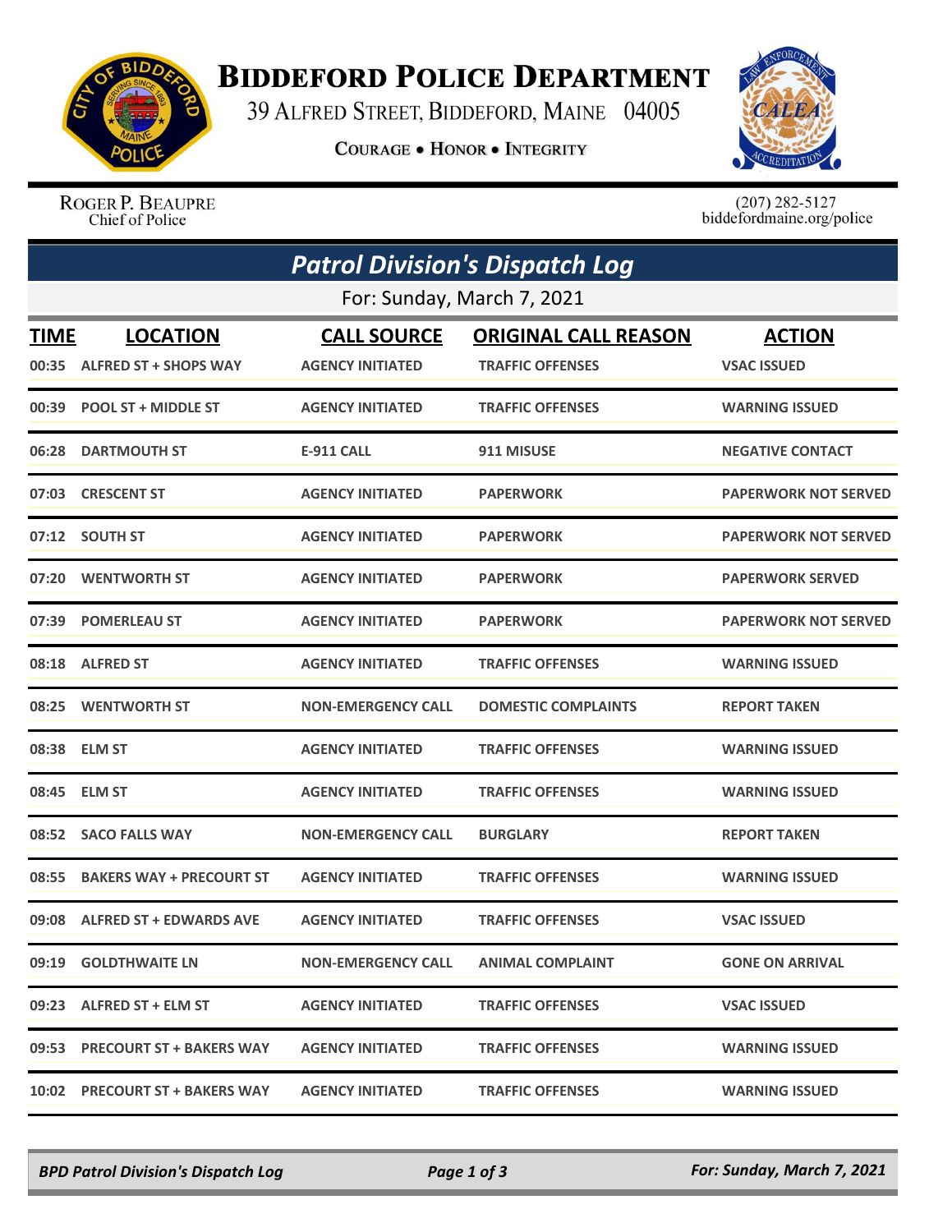

## **BIDDEFORD POLICE DEPARTMENT**

39 ALFRED STREET, BIDDEFORD, MAINE 04005

**COURAGE . HONOR . INTEGRITY** 



ROGER P. BEAUPRE Chief of Police

 $(207)$  282-5127<br>biddefordmaine.org/police

|                            | <b>Patrol Division's Dispatch Log</b> |                           |                             |                             |  |  |  |
|----------------------------|---------------------------------------|---------------------------|-----------------------------|-----------------------------|--|--|--|
| For: Sunday, March 7, 2021 |                                       |                           |                             |                             |  |  |  |
| <b>TIME</b>                | <b>LOCATION</b>                       | <b>CALL SOURCE</b>        | <b>ORIGINAL CALL REASON</b> | <b>ACTION</b>               |  |  |  |
|                            | 00:35 ALFRED ST + SHOPS WAY           | <b>AGENCY INITIATED</b>   | <b>TRAFFIC OFFENSES</b>     | <b>VSAC ISSUED</b>          |  |  |  |
| 00:39                      | <b>POOL ST + MIDDLE ST</b>            | <b>AGENCY INITIATED</b>   | <b>TRAFFIC OFFENSES</b>     | <b>WARNING ISSUED</b>       |  |  |  |
| 06:28                      | <b>DARTMOUTH ST</b>                   | <b>E-911 CALL</b>         | 911 MISUSE                  | <b>NEGATIVE CONTACT</b>     |  |  |  |
|                            | 07:03 CRESCENT ST                     | <b>AGENCY INITIATED</b>   | <b>PAPERWORK</b>            | <b>PAPERWORK NOT SERVED</b> |  |  |  |
| 07:12                      | <b>SOUTH ST</b>                       | <b>AGENCY INITIATED</b>   | <b>PAPERWORK</b>            | <b>PAPERWORK NOT SERVED</b> |  |  |  |
| 07:20                      | <b>WENTWORTH ST</b>                   | <b>AGENCY INITIATED</b>   | <b>PAPERWORK</b>            | <b>PAPERWORK SERVED</b>     |  |  |  |
| 07:39                      | <b>POMERLEAU ST</b>                   | <b>AGENCY INITIATED</b>   | <b>PAPERWORK</b>            | <b>PAPERWORK NOT SERVED</b> |  |  |  |
| 08:18                      | <b>ALFRED ST</b>                      | <b>AGENCY INITIATED</b>   | <b>TRAFFIC OFFENSES</b>     | <b>WARNING ISSUED</b>       |  |  |  |
| 08:25                      | <b>WENTWORTH ST</b>                   | <b>NON-EMERGENCY CALL</b> | <b>DOMESTIC COMPLAINTS</b>  | <b>REPORT TAKEN</b>         |  |  |  |
| 08:38                      | <b>ELM ST</b>                         | <b>AGENCY INITIATED</b>   | <b>TRAFFIC OFFENSES</b>     | <b>WARNING ISSUED</b>       |  |  |  |
| 08:45                      | <b>ELM ST</b>                         | <b>AGENCY INITIATED</b>   | <b>TRAFFIC OFFENSES</b>     | <b>WARNING ISSUED</b>       |  |  |  |
| 08:52                      | <b>SACO FALLS WAY</b>                 | <b>NON-EMERGENCY CALL</b> | <b>BURGLARY</b>             | <b>REPORT TAKEN</b>         |  |  |  |
| 08:55                      | <b>BAKERS WAY + PRECOURT ST</b>       | <b>AGENCY INITIATED</b>   | <b>TRAFFIC OFFENSES</b>     | <b>WARNING ISSUED</b>       |  |  |  |
| 09:08                      | <b>ALFRED ST + EDWARDS AVE</b>        | <b>AGENCY INITIATED</b>   | <b>TRAFFIC OFFENSES</b>     | <b>VSAC ISSUED</b>          |  |  |  |
|                            | 09:19 GOLDTHWAITE LN                  | <b>NON-EMERGENCY CALL</b> | <b>ANIMAL COMPLAINT</b>     | <b>GONE ON ARRIVAL</b>      |  |  |  |
|                            | 09:23 ALFRED ST + ELM ST              | <b>AGENCY INITIATED</b>   | <b>TRAFFIC OFFENSES</b>     | <b>VSAC ISSUED</b>          |  |  |  |
|                            | 09:53 PRECOURT ST + BAKERS WAY        | <b>AGENCY INITIATED</b>   | <b>TRAFFIC OFFENSES</b>     | <b>WARNING ISSUED</b>       |  |  |  |
|                            | 10:02 PRECOURT ST + BAKERS WAY        | <b>AGENCY INITIATED</b>   | <b>TRAFFIC OFFENSES</b>     | <b>WARNING ISSUED</b>       |  |  |  |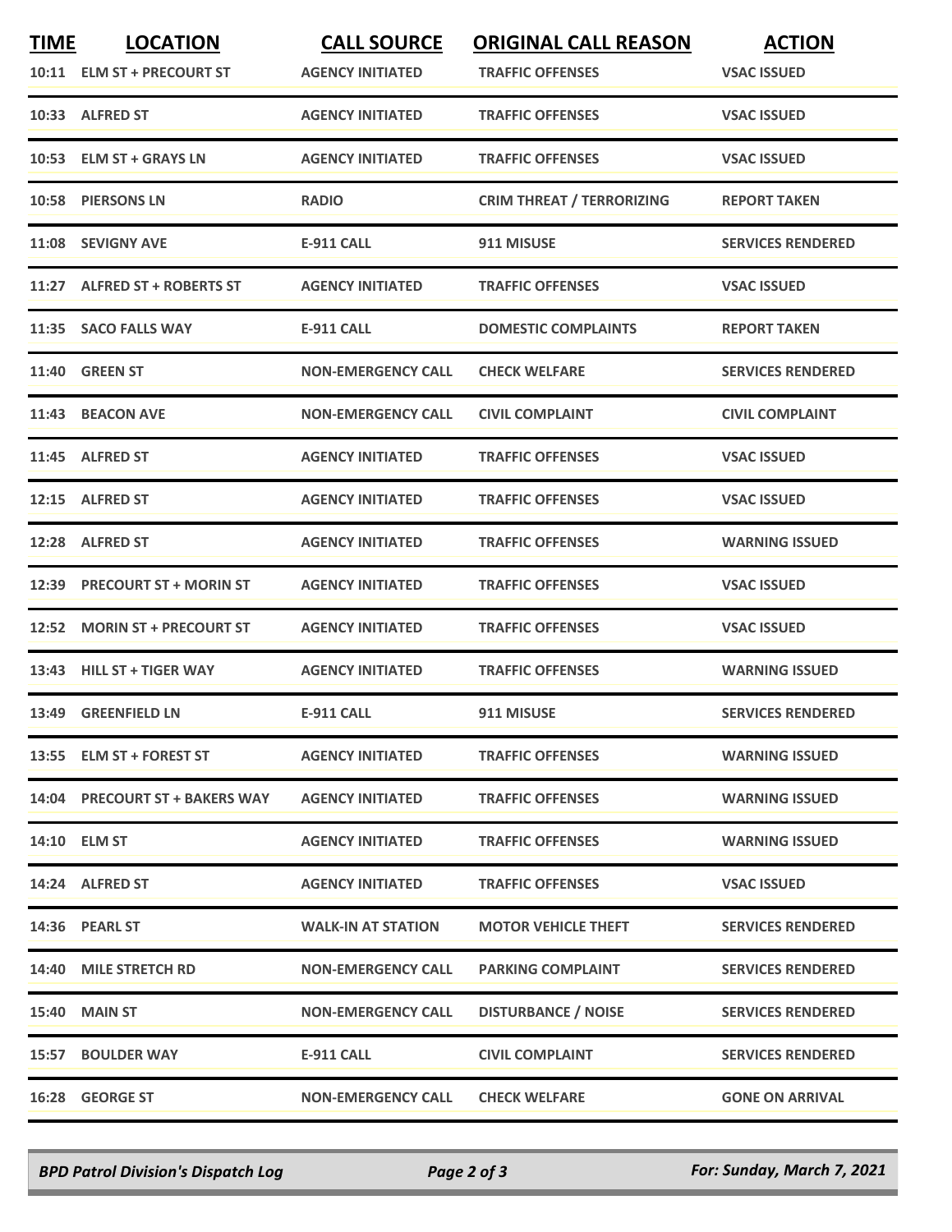| <b>TIME</b> | <b>LOCATION</b><br>10:11 ELM ST + PRECOURT ST | <b>CALL SOURCE</b><br><b>AGENCY INITIATED</b> | <b>ORIGINAL CALL REASON</b><br><b>TRAFFIC OFFENSES</b> | <b>ACTION</b><br><b>VSAC ISSUED</b> |
|-------------|-----------------------------------------------|-----------------------------------------------|--------------------------------------------------------|-------------------------------------|
|             | 10:33 ALFRED ST                               | <b>AGENCY INITIATED</b>                       | <b>TRAFFIC OFFENSES</b>                                | <b>VSAC ISSUED</b>                  |
|             | 10:53 ELM ST + GRAYS LN                       | <b>AGENCY INITIATED</b>                       | <b>TRAFFIC OFFENSES</b>                                | <b>VSAC ISSUED</b>                  |
|             | 10:58 PIERSONS LN                             | <b>RADIO</b>                                  | <b>CRIM THREAT / TERRORIZING</b>                       | <b>REPORT TAKEN</b>                 |
|             | 11:08 SEVIGNY AVE                             | <b>E-911 CALL</b>                             | 911 MISUSE                                             | <b>SERVICES RENDERED</b>            |
|             | 11:27 ALFRED ST + ROBERTS ST                  | <b>AGENCY INITIATED</b>                       | <b>TRAFFIC OFFENSES</b>                                | <b>VSAC ISSUED</b>                  |
|             | 11:35 SACO FALLS WAY                          | <b>E-911 CALL</b>                             | <b>DOMESTIC COMPLAINTS</b>                             | <b>REPORT TAKEN</b>                 |
|             | <b>11:40 GREEN ST</b>                         | <b>NON-EMERGENCY CALL</b>                     | <b>CHECK WELFARE</b>                                   | <b>SERVICES RENDERED</b>            |
|             | 11:43 BEACON AVE                              | <b>NON-EMERGENCY CALL</b>                     | <b>CIVIL COMPLAINT</b>                                 | <b>CIVIL COMPLAINT</b>              |
|             | 11:45 ALFRED ST                               | <b>AGENCY INITIATED</b>                       | <b>TRAFFIC OFFENSES</b>                                | <b>VSAC ISSUED</b>                  |
|             | 12:15 ALFRED ST                               | <b>AGENCY INITIATED</b>                       | <b>TRAFFIC OFFENSES</b>                                | <b>VSAC ISSUED</b>                  |
|             | 12:28 ALFRED ST                               | <b>AGENCY INITIATED</b>                       | <b>TRAFFIC OFFENSES</b>                                | <b>WARNING ISSUED</b>               |
|             | 12:39 PRECOURT ST + MORIN ST                  | <b>AGENCY INITIATED</b>                       | <b>TRAFFIC OFFENSES</b>                                | <b>VSAC ISSUED</b>                  |
| 12:52       | <b>MORIN ST + PRECOURT ST</b>                 | <b>AGENCY INITIATED</b>                       | <b>TRAFFIC OFFENSES</b>                                | <b>VSAC ISSUED</b>                  |
|             | 13:43 HILL ST + TIGER WAY                     | <b>AGENCY INITIATED</b>                       | <b>TRAFFIC OFFENSES</b>                                | <b>WARNING ISSUED</b>               |
|             | 13:49 GREENFIELD LN                           | <b>E-911 CALL</b>                             | 911 MISUSE                                             | <b>SERVICES RENDERED</b>            |
|             | 13:55 ELM ST + FOREST ST                      | <b>AGENCY INITIATED</b>                       | <b>TRAFFIC OFFENSES</b>                                | <b>WARNING ISSUED</b>               |
|             | 14:04 PRECOURT ST + BAKERS WAY                | <b>AGENCY INITIATED</b>                       | <b>TRAFFIC OFFENSES</b>                                | <b>WARNING ISSUED</b>               |
|             | 14:10 ELM ST                                  | <b>AGENCY INITIATED</b>                       | <b>TRAFFIC OFFENSES</b>                                | <b>WARNING ISSUED</b>               |
|             | 14:24 ALFRED ST                               | <b>AGENCY INITIATED</b>                       | <b>TRAFFIC OFFENSES</b>                                | <b>VSAC ISSUED</b>                  |
|             | 14:36 PEARL ST                                | <b>WALK-IN AT STATION</b>                     | <b>MOTOR VEHICLE THEFT</b>                             | <b>SERVICES RENDERED</b>            |
|             | 14:40 MILE STRETCH RD                         | <b>NON-EMERGENCY CALL</b>                     | <b>PARKING COMPLAINT</b>                               | <b>SERVICES RENDERED</b>            |
|             | 15:40 MAIN ST                                 | <b>NON-EMERGENCY CALL</b>                     | <b>DISTURBANCE / NOISE</b>                             | <b>SERVICES RENDERED</b>            |
|             | 15:57 BOULDER WAY                             | <b>E-911 CALL</b>                             | <b>CIVIL COMPLAINT</b>                                 | <b>SERVICES RENDERED</b>            |
|             | 16:28 GEORGE ST                               | <b>NON-EMERGENCY CALL</b>                     | <b>CHECK WELFARE</b>                                   | <b>GONE ON ARRIVAL</b>              |

*BPD Patrol Division's Dispatch Log Page 2 of 3 For: Sunday, March 7, 2021*